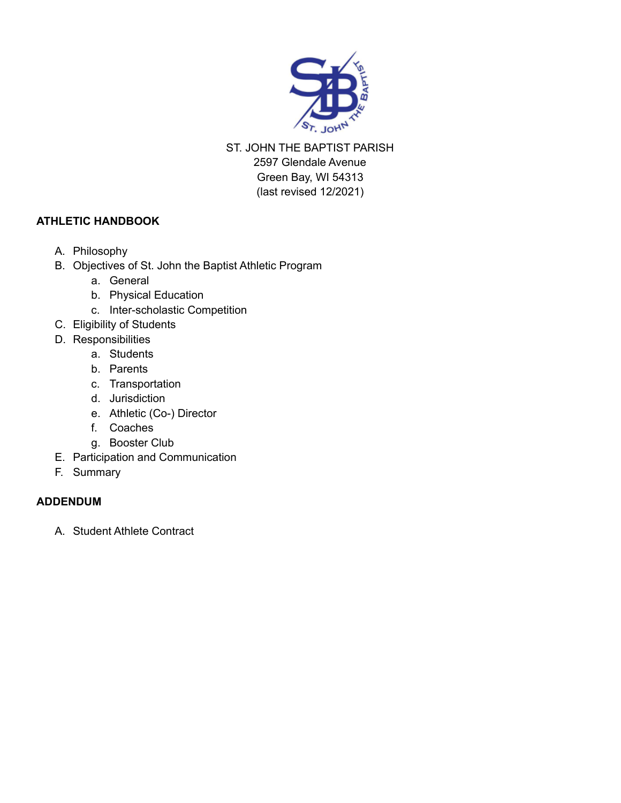

ST. JOHN THE BAPTIST PARISH 2597 Glendale Avenue Green Bay, WI 54313 (last revised 12/2021)

## **ATHLETIC HANDBOOK**

- A. Philosophy
- B. Objectives of St. John the Baptist Athletic Program
	- a. General
	- b. Physical Education
	- c. Inter-scholastic Competition
- C. Eligibility of Students
- D. Responsibilities
	- a. Students
	- b. Parents
	- c. Transportation
	- d. Jurisdiction
	- e. Athletic (Co-) Director
	- f. Coaches
	- g. Booster Club
- E. Participation and Communication
- F. Summary

## **ADDENDUM**

A. Student Athlete Contract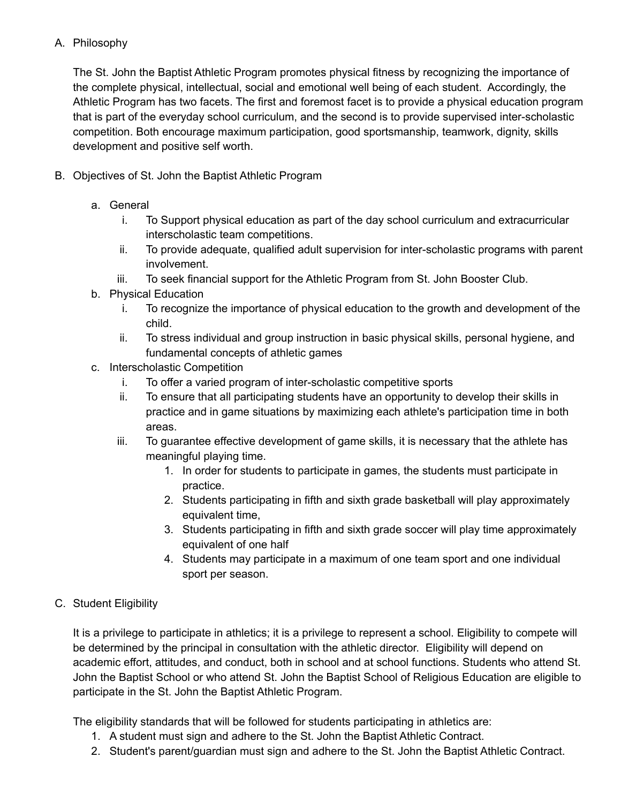### A. Philosophy

The St. John the Baptist Athletic Program promotes physical fitness by recognizing the importance of the complete physical, intellectual, social and emotional well being of each student. Accordingly, the Athletic Program has two facets. The first and foremost facet is to provide a physical education program that is part of the everyday school curriculum, and the second is to provide supervised inter-scholastic competition. Both encourage maximum participation, good sportsmanship, teamwork, dignity, skills development and positive self worth.

- B. Objectives of St. John the Baptist Athletic Program
	- a. General
		- i. To Support physical education as part of the day school curriculum and extracurricular interscholastic team competitions.
		- ii. To provide adequate, qualified adult supervision for inter-scholastic programs with parent involvement.
		- iii. To seek financial support for the Athletic Program from St. John Booster Club.
	- b. Physical Education
		- i. To recognize the importance of physical education to the growth and development of the child.
		- ii. To stress individual and group instruction in basic physical skills, personal hygiene, and fundamental concepts of athletic games
	- c. Interscholastic Competition
		- i. To offer a varied program of inter-scholastic competitive sports
		- ii. To ensure that all participating students have an opportunity to develop their skills in practice and in game situations by maximizing each athlete's participation time in both areas.
		- iii. To guarantee effective development of game skills, it is necessary that the athlete has meaningful playing time.
			- 1. In order for students to participate in games, the students must participate in practice.
			- 2. Students participating in fifth and sixth grade basketball will play approximately equivalent time,
			- 3. Students participating in fifth and sixth grade soccer will play time approximately equivalent of one half
			- 4. Students may participate in a maximum of one team sport and one individual sport per season.
- C. Student Eligibility

It is a privilege to participate in athletics; it is a privilege to represent a school. Eligibility to compete will be determined by the principal in consultation with the athletic director. Eligibility will depend on academic effort, attitudes, and conduct, both in school and at school functions. Students who attend St. John the Baptist School or who attend St. John the Baptist School of Religious Education are eligible to participate in the St. John the Baptist Athletic Program.

The eligibility standards that will be followed for students participating in athletics are:

- 1. A student must sign and adhere to the St. John the Baptist Athletic Contract.
- 2. Student's parent/guardian must sign and adhere to the St. John the Baptist Athletic Contract.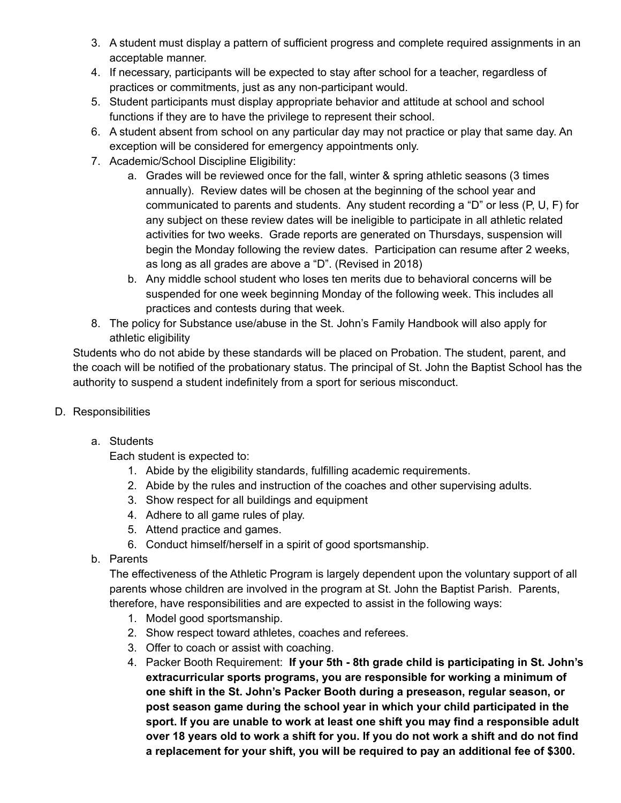- 3. A student must display a pattern of sufficient progress and complete required assignments in an acceptable manner.
- 4. If necessary, participants will be expected to stay after school for a teacher, regardless of practices or commitments, just as any non-participant would.
- 5. Student participants must display appropriate behavior and attitude at school and school functions if they are to have the privilege to represent their school.
- 6. A student absent from school on any particular day may not practice or play that same day. An exception will be considered for emergency appointments only.
- 7. Academic/School Discipline Eligibility:
	- a. Grades will be reviewed once for the fall, winter & spring athletic seasons (3 times annually). Review dates will be chosen at the beginning of the school year and communicated to parents and students. Any student recording a "D" or less (P, U, F) for any subject on these review dates will be ineligible to participate in all athletic related activities for two weeks. Grade reports are generated on Thursdays, suspension will begin the Monday following the review dates. Participation can resume after 2 weeks, as long as all grades are above a "D". (Revised in 2018)
	- b. Any middle school student who loses ten merits due to behavioral concerns will be suspended for one week beginning Monday of the following week. This includes all practices and contests during that week.
- 8. The policy for Substance use/abuse in the St. John's Family Handbook will also apply for athletic eligibility

Students who do not abide by these standards will be placed on Probation. The student, parent, and the coach will be notified of the probationary status. The principal of St. John the Baptist School has the authority to suspend a student indefinitely from a sport for serious misconduct.

- D. Responsibilities
	- a. Students

Each student is expected to:

- 1. Abide by the eligibility standards, fulfilling academic requirements.
- 2. Abide by the rules and instruction of the coaches and other supervising adults.
- 3. Show respect for all buildings and equipment
- 4. Adhere to all game rules of play.
- 5. Attend practice and games.
- 6. Conduct himself/herself in a spirit of good sportsmanship.
- b. Parents

The effectiveness of the Athletic Program is largely dependent upon the voluntary support of all parents whose children are involved in the program at St. John the Baptist Parish. Parents, therefore, have responsibilities and are expected to assist in the following ways:

- 1. Model good sportsmanship.
- 2. Show respect toward athletes, coaches and referees.
- 3. Offer to coach or assist with coaching.
- 4. Packer Booth Requirement: **If your 5th - 8th grade child is participating in St. John's extracurricular sports programs, you are responsible for working a minimum of one shift in the St. John's Packer Booth during a preseason, regular season, or post season game during the school year in which your child participated in the sport. If you are unable to work at least one shift you may find a responsible adult** over 18 years old to work a shift for you. If you do not work a shift and do not find **a replacement for your shift, you will be required to pay an additional fee of \$300.**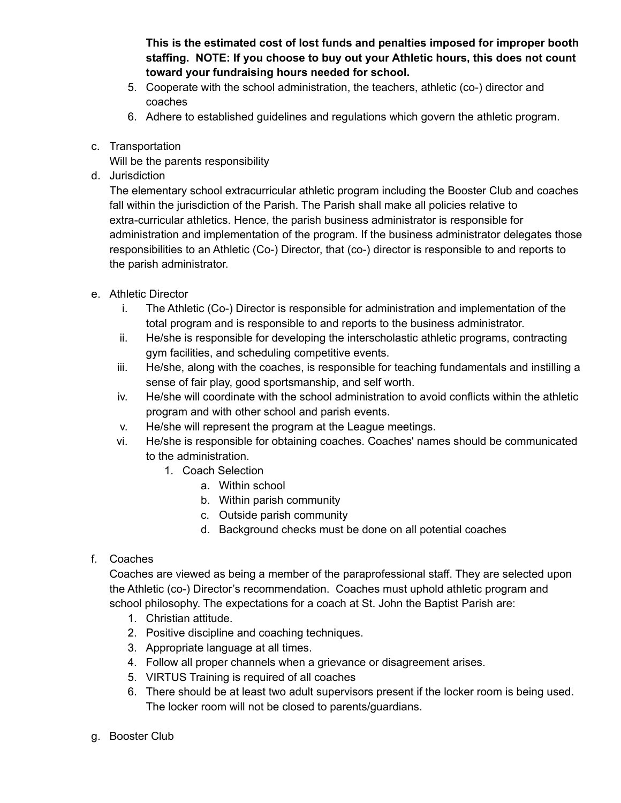**This is the estimated cost of lost funds and penalties imposed for improper booth staffing. NOTE: If you choose to buy out your Athletic hours, this does not count toward your fundraising hours needed for school.**

- 5. Cooperate with the school administration, the teachers, athletic (co-) director and coaches
- 6. Adhere to established guidelines and regulations which govern the athletic program.
- c. Transportation

Will be the parents responsibility

d. Jurisdiction

The elementary school extracurricular athletic program including the Booster Club and coaches fall within the jurisdiction of the Parish. The Parish shall make all policies relative to extra-curricular athletics. Hence, the parish business administrator is responsible for administration and implementation of the program. If the business administrator delegates those responsibilities to an Athletic (Co-) Director, that (co-) director is responsible to and reports to the parish administrator.

- e. Athletic Director
	- i. The Athletic (Co-) Director is responsible for administration and implementation of the total program and is responsible to and reports to the business administrator.
	- ii. He/she is responsible for developing the interscholastic athletic programs, contracting gym facilities, and scheduling competitive events.
	- iii. He/she, along with the coaches, is responsible for teaching fundamentals and instilling a sense of fair play, good sportsmanship, and self worth.
	- iv. He/she will coordinate with the school administration to avoid conflicts within the athletic program and with other school and parish events.
	- v. He/she will represent the program at the League meetings.
	- vi. He/she is responsible for obtaining coaches. Coaches' names should be communicated to the administration.
		- 1. Coach Selection
			- a. Within school
				- b. Within parish community
				- c. Outside parish community
				- d. Background checks must be done on all potential coaches

#### f. Coaches

Coaches are viewed as being a member of the paraprofessional staff. They are selected upon the Athletic (co-) Director's recommendation. Coaches must uphold athletic program and school philosophy. The expectations for a coach at St. John the Baptist Parish are:

- 1. Christian attitude.
- 2. Positive discipline and coaching techniques.
- 3. Appropriate language at all times.
- 4. Follow all proper channels when a grievance or disagreement arises.
- 5. VIRTUS Training is required of all coaches
- 6. There should be at least two adult supervisors present if the locker room is being used. The locker room will not be closed to parents/guardians.
- g. Booster Club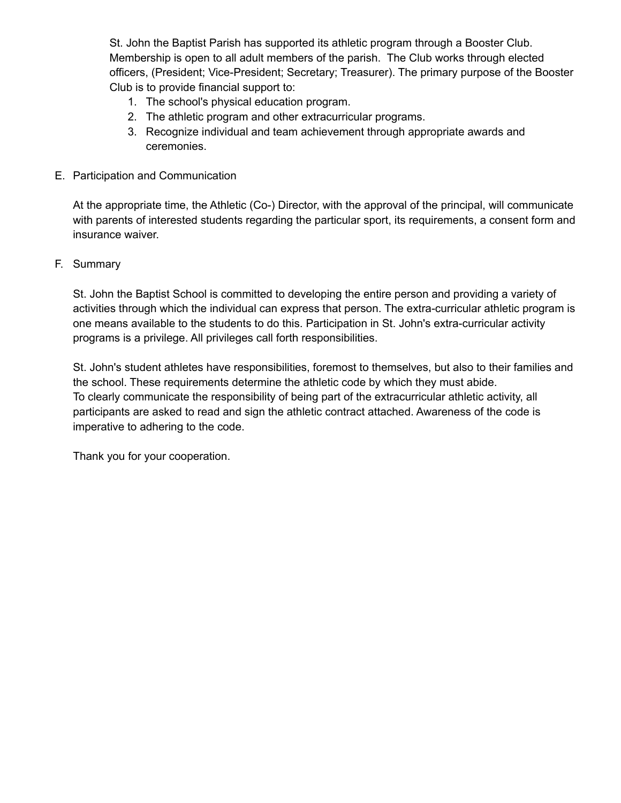St. John the Baptist Parish has supported its athletic program through a Booster Club. Membership is open to all adult members of the parish. The Club works through elected officers, (President; Vice-President; Secretary; Treasurer). The primary purpose of the Booster Club is to provide financial support to:

- 1. The school's physical education program.
- 2. The athletic program and other extracurricular programs.
- 3. Recognize individual and team achievement through appropriate awards and ceremonies.
- E. Participation and Communication

At the appropriate time, the Athletic (Co-) Director, with the approval of the principal, will communicate with parents of interested students regarding the particular sport, its requirements, a consent form and insurance waiver.

F. Summary

St. John the Baptist School is committed to developing the entire person and providing a variety of activities through which the individual can express that person. The extra-curricular athletic program is one means available to the students to do this. Participation in St. John's extra-curricular activity programs is a privilege. All privileges call forth responsibilities.

St. John's student athletes have responsibilities, foremost to themselves, but also to their families and the school. These requirements determine the athletic code by which they must abide. To clearly communicate the responsibility of being part of the extracurricular athletic activity, all participants are asked to read and sign the athletic contract attached. Awareness of the code is imperative to adhering to the code.

Thank you for your cooperation.